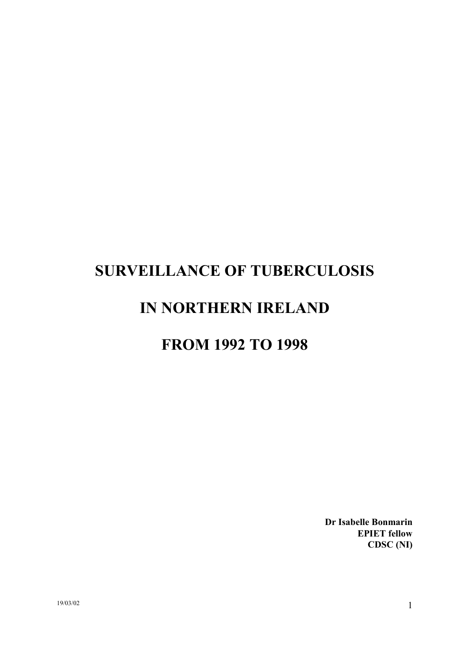# **SURVEILLANCE OF TUBERCULOSIS**

# **IN NORTHERN IRELAND**

# **FROM 1992 TO 1998**

**Dr Isabelle Bonmarin EPIET fellow CDSC (NI)**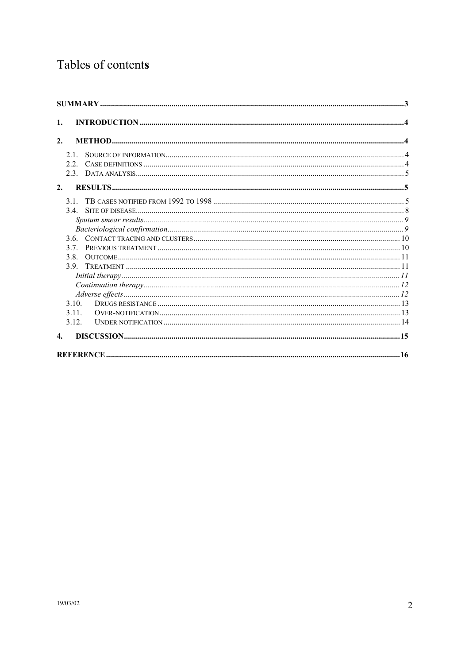# Tables of contents

| 1.                 |  |
|--------------------|--|
| 2.                 |  |
| 21                 |  |
| 2.2                |  |
|                    |  |
| 2.                 |  |
| 31                 |  |
|                    |  |
|                    |  |
|                    |  |
|                    |  |
| 37                 |  |
| 3.8.               |  |
| 39                 |  |
|                    |  |
|                    |  |
|                    |  |
| 3 1 0              |  |
| 3.11.              |  |
| 3 1 2              |  |
| $\boldsymbol{4}$ . |  |
|                    |  |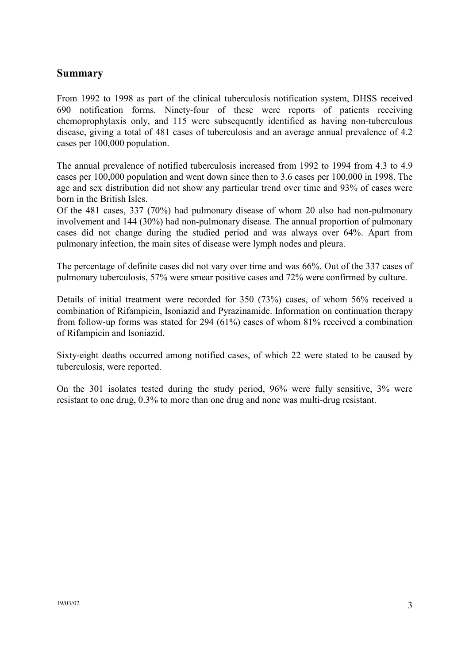## <span id="page-2-0"></span>**Summary**

From 1992 to 1998 as part of the clinical tuberculosis notification system, DHSS received 690 notification forms. Ninety-four of these were reports of patients receiving chemoprophylaxis only, and 115 were subsequently identified as having non-tuberculous disease, giving a total of 481 cases of tuberculosis and an average annual prevalence of 4.2 cases per 100,000 population.

The annual prevalence of notified tuberculosis increased from 1992 to 1994 from 4.3 to 4.9 cases per 100,000 population and went down since then to 3.6 cases per 100,000 in 1998. The age and sex distribution did not show any particular trend over time and 93% of cases were born in the British Isles.

Of the 481 cases, 337 (70%) had pulmonary disease of whom 20 also had non-pulmonary involvement and 144 (30%) had non-pulmonary disease. The annual proportion of pulmonary cases did not change during the studied period and was always over 64%. Apart from pulmonary infection, the main sites of disease were lymph nodes and pleura.

The percentage of definite cases did not vary over time and was 66%. Out of the 337 cases of pulmonary tuberculosis, 57% were smear positive cases and 72% were confirmed by culture.

Details of initial treatment were recorded for 350 (73%) cases, of whom 56% received a combination of Rifampicin, Isoniazid and Pyrazinamide. Information on continuation therapy from follow-up forms was stated for 294 (61%) cases of whom 81% received a combination of Rifampicin and Isoniazid.

Sixty-eight deaths occurred among notified cases, of which 22 were stated to be caused by tuberculosis, were reported.

On the 301 isolates tested during the study period, 96% were fully sensitive, 3% were resistant to one drug, 0.3% to more than one drug and none was multi-drug resistant.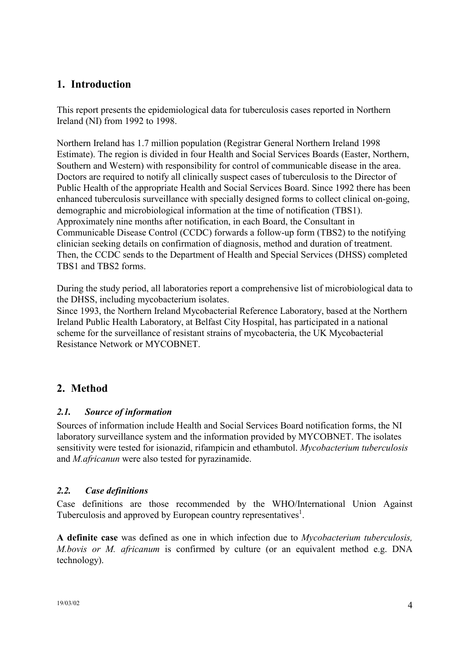# <span id="page-3-0"></span>**1. Introduction**

This report presents the epidemiological data for tuberculosis cases reported in Northern Ireland (NI) from 1992 to 1998.

Northern Ireland has 1.7 million population (Registrar General Northern Ireland 1998 Estimate). The region is divided in four Health and Social Services Boards (Easter, Northern, Southern and Western) with responsibility for control of communicable disease in the area. Doctors are required to notify all clinically suspect cases of tuberculosis to the Director of Public Health of the appropriate Health and Social Services Board. Since 1992 there has been enhanced tuberculosis surveillance with specially designed forms to collect clinical on-going, demographic and microbiological information at the time of notification (TBS1). Approximately nine months after notification, in each Board, the Consultant in Communicable Disease Control (CCDC) forwards a follow-up form (TBS2) to the notifying clinician seeking details on confirmation of diagnosis, method and duration of treatment. Then, the CCDC sends to the Department of Health and Special Services (DHSS) completed TBS1 and TBS2 forms.

During the study period, all laboratories report a comprehensive list of microbiological data to the DHSS, including mycobacterium isolates.

Since 1993, the Northern Ireland Mycobacterial Reference Laboratory, based at the Northern Ireland Public Health Laboratory, at Belfast City Hospital, has participated in a national scheme for the surveillance of resistant strains of mycobacteria, the UK Mycobacterial Resistance Network or MYCOBNET.

# **2. Method**

# *2.1. Source of information*

Sources of information include Health and Social Services Board notification forms, the NI laboratory surveillance system and the information provided by MYCOBNET. The isolates sensitivity were tested for isionazid, rifampicin and ethambutol. *Mycobacterium tuberculosis* and *M.africanun* were also tested for pyrazinamide.

# *2.2. Case definitions*

Case definitions are those recommended by the WHO/International Union Against Tuberculosis and approved by European country representatives<sup>1</sup>.

**A definite case** was defined as one in which infection due to *Mycobacterium tuberculosis, M.bovis or M. africanum* is confirmed by culture (or an equivalent method e.g. DNA technology).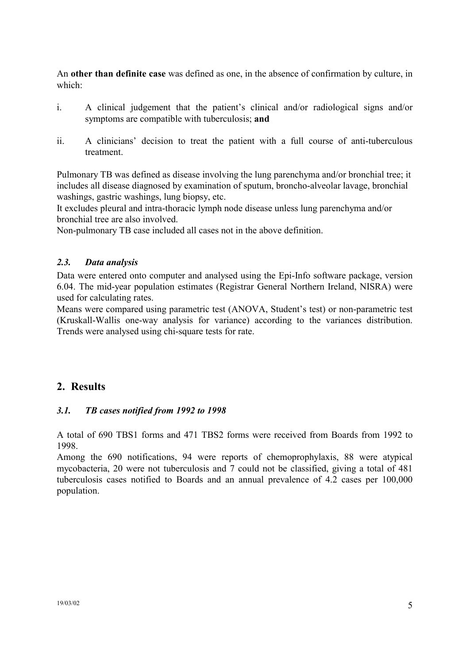<span id="page-4-0"></span>An **other than definite case** was defined as one, in the absence of confirmation by culture, in which:

- i. A clinical judgement that the patient's clinical and/or radiological signs and/or symptoms are compatible with tuberculosis; **and**
- ii. A clinicians' decision to treat the patient with a full course of anti-tuberculous treatment.

Pulmonary TB was defined as disease involving the lung parenchyma and/or bronchial tree; it includes all disease diagnosed by examination of sputum, broncho-alveolar lavage, bronchial washings, gastric washings, lung biopsy, etc.

It excludes pleural and intra-thoracic lymph node disease unless lung parenchyma and/or bronchial tree are also involved.

Non-pulmonary TB case included all cases not in the above definition.

#### *2.3. Data analysis*

Data were entered onto computer and analysed using the Epi-Info software package, version 6.04. The mid-year population estimates (Registrar General Northern Ireland, NISRA) were used for calculating rates.

Means were compared using parametric test (ANOVA, Student's test) or non-parametric test (Kruskall-Wallis one-way analysis for variance) according to the variances distribution. Trends were analysed using chi-square tests for rate.

# **2. Results**

## *3.1. TB cases notified from 1992 to 1998*

A total of 690 TBS1 forms and 471 TBS2 forms were received from Boards from 1992 to 1998.

Among the 690 notifications, 94 were reports of chemoprophylaxis, 88 were atypical mycobacteria, 20 were not tuberculosis and 7 could not be classified, giving a total of 481 tuberculosis cases notified to Boards and an annual prevalence of 4.2 cases per 100,000 population.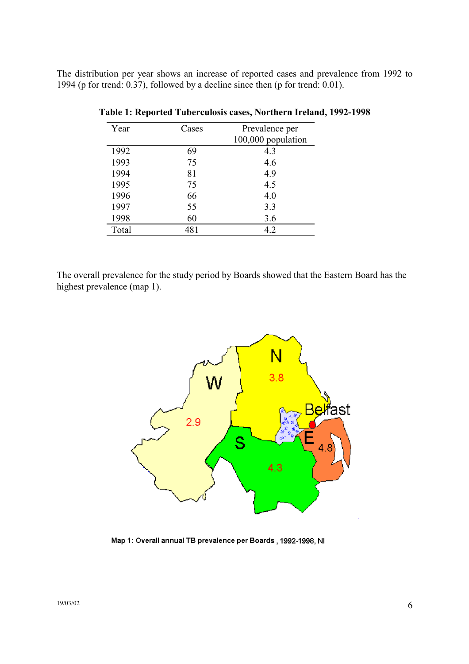The distribution per year shows an increase of reported cases and prevalence from 1992 to 1994 (p for trend: 0.37), followed by a decline since then (p for trend: 0.01).

| Year  | Cases | Prevalence per     |
|-------|-------|--------------------|
|       |       | 100,000 population |
| 1992  | 69    | 4.3                |
| 1993  | 75    | 4.6                |
| 1994  | 81    | 4.9                |
| 1995  | 75    | 4.5                |
| 1996  | 66    | 4.0                |
| 1997  | 55    | 3.3                |
| 1998  | 60    | 3.6                |
| Total | 481   | 4.2                |

**Table 1: Reported Tuberculosis cases, Northern Ireland, 1992-1998** 

The overall prevalence for the study period by Boards showed that the Eastern Board has the highest prevalence (map 1).



Map 1: Overall annual TB prevalence per Boards, 1992-1998, NI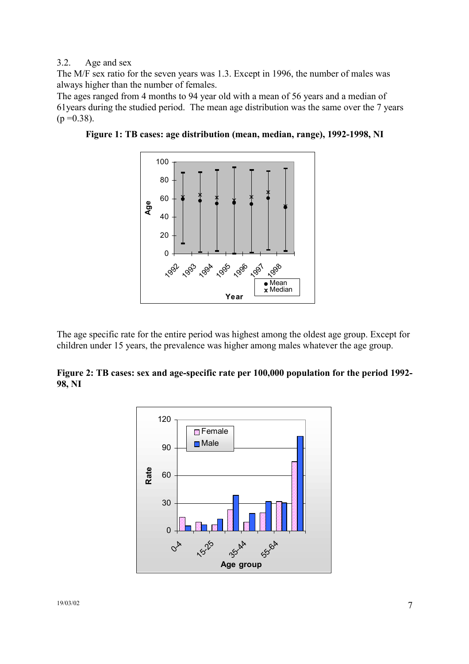#### 3.2. Age and sex

The M/F sex ratio for the seven years was 1.3. Except in 1996, the number of males was always higher than the number of females.

The ages ranged from 4 months to 94 year old with a mean of 56 years and a median of 61years during the studied period. The mean age distribution was the same over the 7 years  $(p = 0.38)$ .





The age specific rate for the entire period was highest among the oldest age group. Except for children under 15 years, the prevalence was higher among males whatever the age group.

**Figure 2: TB cases: sex and age-specific rate per 100,000 population for the period 1992- 98, NI** 

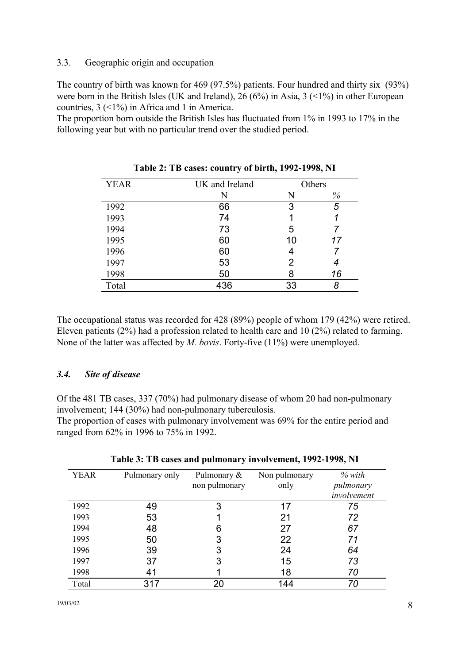#### <span id="page-7-0"></span>3.3. Geographic origin and occupation

The country of birth was known for 469 (97.5%) patients. Four hundred and thirty six (93%) were born in the British Isles (UK and Ireland), 26 (6%) in Asia,  $3$  (<1%) in other European countries, 3 (<1%) in Africa and 1 in America.

The proportion born outside the British Isles has fluctuated from 1% in 1993 to 17% in the following year but with no particular trend over the studied period.

| <b>YEAR</b> | UK and Ireland |    | Others |
|-------------|----------------|----|--------|
|             | N              | N  | $\%$   |
| 1992        | 66             | 3  | 5      |
| 1993        | 74             |    |        |
| 1994        | 73             | 5  |        |
| 1995        | 60             | 10 | 17     |
| 1996        | 60             |    |        |
| 1997        | 53             | 2  | 4      |
| 1998        | 50             | 8  | 16     |
| Total       | 436            | 33 | 8      |

**Table 2: TB cases: country of birth, 1992-1998, NI** 

The occupational status was recorded for 428 (89%) people of whom 179 (42%) were retired. Eleven patients (2%) had a profession related to health care and 10 (2%) related to farming. None of the latter was affected by *M. bovis*. Forty-five (11%) were unemployed.

## *3.4. Site of disease*

Of the 481 TB cases, 337 (70%) had pulmonary disease of whom 20 had non-pulmonary involvement; 144 (30%) had non-pulmonary tuberculosis.

The proportion of cases with pulmonary involvement was 69% for the entire period and ranged from 62% in 1996 to 75% in 1992.

| <b>YEAR</b> | Pulmonary only | Pulmonary &<br>non pulmonary | Non pulmonary<br>only | $%$ with<br>pulmonary<br>involvement |
|-------------|----------------|------------------------------|-----------------------|--------------------------------------|
| 1992        | 49             |                              | 17                    | 75                                   |
| 1993        | 53             |                              | 21                    | 72                                   |
| 1994        | 48             | 6                            | 27                    | 67                                   |
| 1995        | 50             |                              | 22                    | 71                                   |
| 1996        | 39             |                              | 24                    | 64                                   |
| 1997        | 37             |                              | 15                    | 73                                   |
| 1998        | 41             |                              | 18                    | 70                                   |
| Total       |                |                              | 144                   | 70                                   |

|  |  | Table 3: TB cases and pulmonary involvement, 1992-1998, NI |  |
|--|--|------------------------------------------------------------|--|
|  |  |                                                            |  |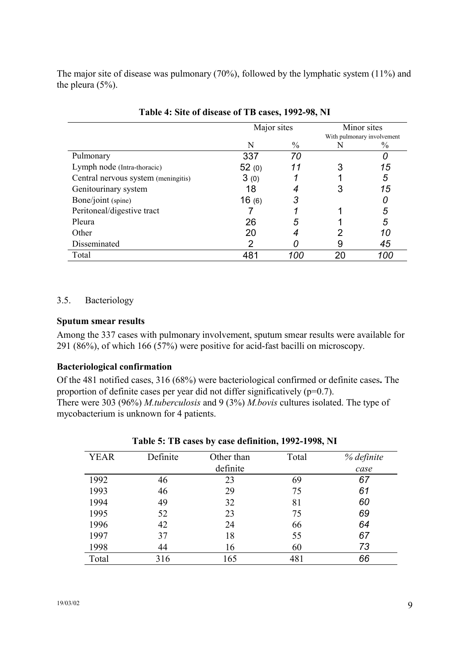<span id="page-8-0"></span>The major site of disease was pulmonary (70%), followed by the lymphatic system (11%) and the pleura (5%).

|                                     | Major sites |               |    | Minor sites<br>With pulmonary involvement |
|-------------------------------------|-------------|---------------|----|-------------------------------------------|
|                                     | N           | $\frac{0}{0}$ | N  | $\frac{0}{0}$                             |
| Pulmonary                           | 337         | 70            |    |                                           |
| Lymph node (Intra-thoracic)         | 52(0)       | 11            |    | 15                                        |
| Central nervous system (meningitis) | 3(0)        |               |    | 5                                         |
| Genitourinary system                | 18          |               |    | 15                                        |
| Bone/joint (spine)                  | 16(6)       | 3             |    |                                           |
| Peritoneal/digestive tract          |             |               |    | 5                                         |
| Pleura                              | 26          | 5             |    | 5                                         |
| Other                               | 20          |               |    | 10                                        |
| Disseminated                        | 2           |               | 9  | 45                                        |
| Total                               | 481         | 100           | 20 | 100                                       |

| Table 4: Site of disease of TB cases, 1992-98, NI |  |  |  |  |  |  |  |
|---------------------------------------------------|--|--|--|--|--|--|--|
|---------------------------------------------------|--|--|--|--|--|--|--|

#### 3.5. Bacteriology

#### **Sputum smear results**

Among the 337 cases with pulmonary involvement, sputum smear results were available for 291 (86%), of which 166 (57%) were positive for acid-fast bacilli on microscopy.

#### **Bacteriological confirmation**

Of the 481 notified cases, 316 (68%) were bacteriological confirmed or definite cases**.** The proportion of definite cases per year did not differ significatively (p=0.7). There were 303 (96%) *M.tuberculosis* and 9 (3%) *M.bovis* cultures isolated. The type of mycobacterium is unknown for 4 patients.

| <b>YEAR</b> | Definite | Other than | Total | % definite |
|-------------|----------|------------|-------|------------|
|             |          | definite   |       | case       |
| 1992        | 46       | 23         | 69    | 67         |
| 1993        | 46       | 29         | 75    | 61         |
| 1994        | 49       | 32         | 81    | 60         |
| 1995        | 52       | 23         | 75    | 69         |
| 1996        | 42       | 24         | 66    | 64         |
| 1997        | 37       | 18         | 55    | 67         |
| 1998        | 44       | 16         | 60    | 73         |
| Total       | 316      | 165        | 481   | 66         |

|  |  | Table 5: TB cases by case definition, 1992-1998, NI |  |
|--|--|-----------------------------------------------------|--|
|  |  |                                                     |  |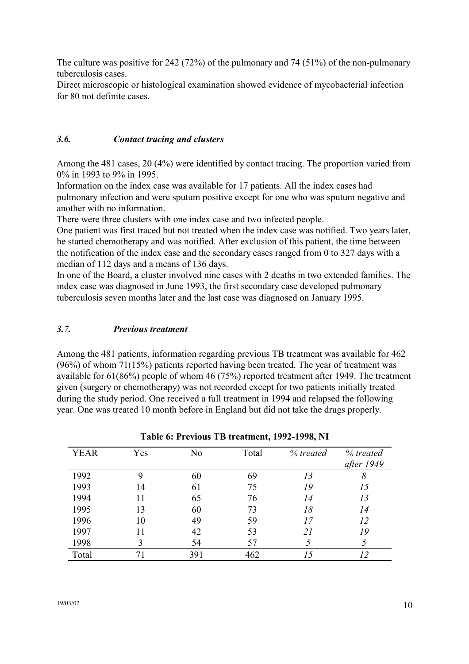<span id="page-9-0"></span>The culture was positive for 242 (72%) of the pulmonary and 74 (51%) of the non-pulmonary tuberculosis cases.

Direct microscopic or histological examination showed evidence of mycobacterial infection for 80 not definite cases.

#### *3.6. Contact tracing and clusters*

Among the 481 cases, 20 (4%) were identified by contact tracing. The proportion varied from 0% in 1993 to 9% in 1995.

Information on the index case was available for 17 patients. All the index cases had pulmonary infection and were sputum positive except for one who was sputum negative and another with no information.

There were three clusters with one index case and two infected people.

One patient was first traced but not treated when the index case was notified. Two years later, he started chemotherapy and was notified. After exclusion of this patient, the time between the notification of the index case and the secondary cases ranged from 0 to 327 days with a median of 112 days and a means of 136 days.

In one of the Board, a cluster involved nine cases with 2 deaths in two extended families. The index case was diagnosed in June 1993, the first secondary case developed pulmonary tuberculosis seven months later and the last case was diagnosed on January 1995.

#### *3.7. Previous treatment*

Among the 481 patients, information regarding previous TB treatment was available for 462 (96%) of whom 71(15%) patients reported having been treated. The year of treatment was available for 61(86%) people of whom 46 (75%) reported treatment after 1949. The treatment given (surgery or chemotherapy) was not recorded except for two patients initially treated during the study period. One received a full treatment in 1994 and relapsed the following year. One was treated 10 month before in England but did not take the drugs properly.

| <b>YEAR</b> | Yes            | No  | Total | % treated | % treated<br>after 1949 |
|-------------|----------------|-----|-------|-----------|-------------------------|
| 1992        | 9              | 60  | 69    | 13        | 8                       |
| 1993        | 14             | 61  | 75    | 19        | 15                      |
| 1994        | 11             | 65  | 76    | 14        | 13                      |
| 1995        | 13             | 60  | 73    | 18        | 14                      |
| 1996        | 10             | 49  | 59    | 17        | 12                      |
| 1997        |                | 42  | 53    | 21        | 19                      |
| 1998        | 3              | 54  | 57    |           |                         |
| Total       | 7 <sub>1</sub> | 391 | 462   | 15        |                         |

| Table 6: Previous TB treatment, 1992-1998, NI |  |
|-----------------------------------------------|--|
|-----------------------------------------------|--|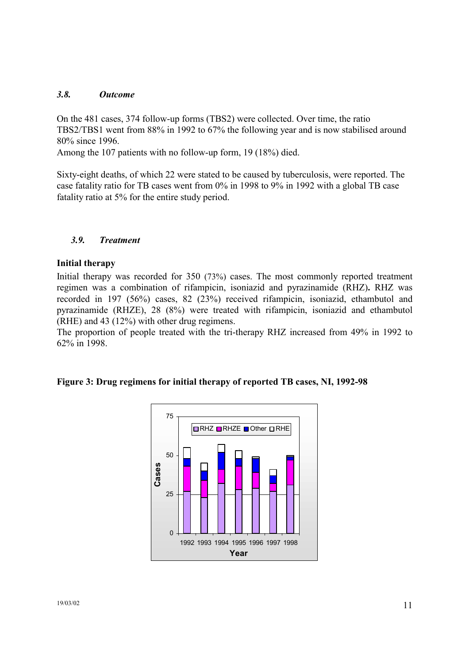#### <span id="page-10-0"></span>*3.8. Outcome*

On the 481 cases, 374 follow-up forms (TBS2) were collected. Over time, the ratio TBS2/TBS1 went from 88% in 1992 to 67% the following year and is now stabilised around 80% since 1996.

Among the 107 patients with no follow-up form, 19 (18%) died.

Sixty-eight deaths, of which 22 were stated to be caused by tuberculosis, were reported. The case fatality ratio for TB cases went from 0% in 1998 to 9% in 1992 with a global TB case fatality ratio at 5% for the entire study period.

#### *3.9. Treatment*

#### **Initial therapy**

Initial therapy was recorded for 350 (73%) cases. The most commonly reported treatment regimen was a combination of rifampicin, isoniazid and pyrazinamide (RHZ)**.** RHZ was recorded in 197 (56%) cases, 82 (23%) received rifampicin, isoniazid, ethambutol and pyrazinamide (RHZE), 28 (8%) were treated with rifampicin, isoniazid and ethambutol (RHE) and 43 (12%) with other drug regimens.

The proportion of people treated with the tri-therapy RHZ increased from 49% in 1992 to 62% in 1998.



#### **Figure 3: Drug regimens for initial therapy of reported TB cases, NI, 1992-98**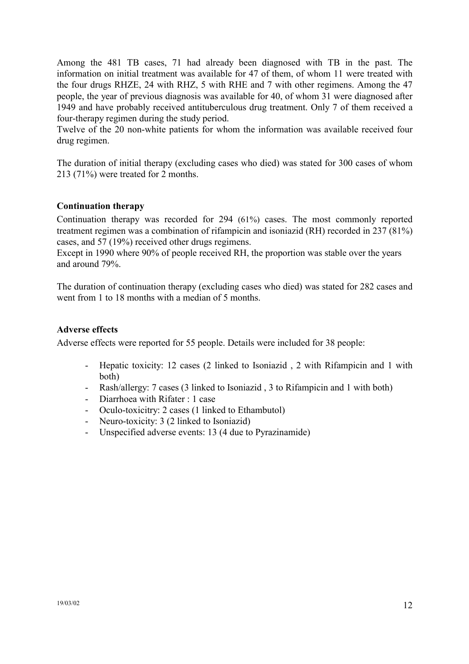<span id="page-11-0"></span>Among the 481 TB cases, 71 had already been diagnosed with TB in the past. The information on initial treatment was available for 47 of them, of whom 11 were treated with the four drugs RHZE, 24 with RHZ, 5 with RHE and 7 with other regimens. Among the 47 people, the year of previous diagnosis was available for 40, of whom 31 were diagnosed after 1949 and have probably received antituberculous drug treatment. Only 7 of them received a four-therapy regimen during the study period.

Twelve of the 20 non-white patients for whom the information was available received four drug regimen.

The duration of initial therapy (excluding cases who died) was stated for 300 cases of whom 213 (71%) were treated for 2 months.

#### **Continuation therapy**

Continuation therapy was recorded for 294 (61%) cases. The most commonly reported treatment regimen was a combination of rifampicin and isoniazid (RH) recorded in 237 (81%) cases, and 57 (19%) received other drugs regimens.

Except in 1990 where 90% of people received RH, the proportion was stable over the years and around 79%.

The duration of continuation therapy (excluding cases who died) was stated for 282 cases and went from 1 to 18 months with a median of 5 months.

#### **Adverse effects**

Adverse effects were reported for 55 people. Details were included for 38 people:

- Hepatic toxicity: 12 cases (2 linked to Isoniazid , 2 with Rifampicin and 1 with both)
- Rash/allergy: 7 cases (3 linked to Isoniazid , 3 to Rifampicin and 1 with both)
- Diarrhoea with Rifater : 1 case
- Oculo-toxicitry: 2 cases (1 linked to Ethambutol)
- Neuro-toxicity: 3 (2 linked to Isoniazid)
- Unspecified adverse events: 13 (4 due to Pyrazinamide)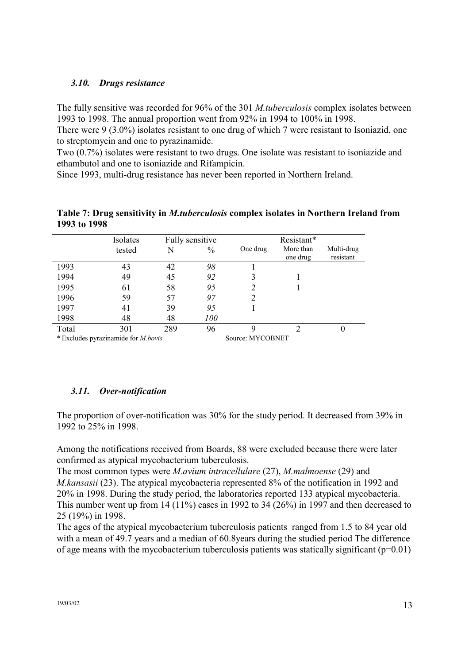## <span id="page-12-0"></span>*3.10. Drugs resistance*

The fully sensitive was recorded for 96% of the 301 *M.tuberculosis* complex isolates between 1993 to 1998. The annual proportion went from 92% in 1994 to 100% in 1998.

There were 9 (3.0%) isolates resistant to one drug of which 7 were resistant to Isoniazid, one to streptomycin and one to pyrazinamide.

Two (0.7%) isolates were resistant to two drugs. One isolate was resistant to isoniazide and ethambutol and one to isoniazide and Rifampicin.

Since 1993, multi-drug resistance has never been reported in Northern Ireland.

|       | Isolates      |     | Fully sensitive |                                         | Resistant*            |                         |
|-------|---------------|-----|-----------------|-----------------------------------------|-----------------------|-------------------------|
|       | tested        | N   | $\frac{0}{0}$   | One drug                                | More than<br>one drug | Multi-drug<br>resistant |
| 1993  | 43            | 42  | 98              |                                         |                       |                         |
| 1994  | 49            | 45  | 92              |                                         |                       |                         |
| 1995  | 61            | 58  | 95              |                                         |                       |                         |
| 1996  | 59            | 57  | 97              |                                         |                       |                         |
| 1997  | 41            | 39  | 95              |                                         |                       |                         |
| 1998  | 48            | 48  | 100             |                                         |                       |                         |
| Total | 301           | 289 | 96              |                                         | ◠                     |                         |
| .     | $\cdots$<br>. |     | -               | a comparative and comparative companies |                       |                         |

**Table 7: Drug sensitivity in** *M.tuberculosis* **complex isolates in Northern Ireland from 1993 to 1998** 

\* Excludes pyrazinamide for *M.bovis* Source: MYCOBNET

## *3.11. Over-notification*

The proportion of over-notification was 30% for the study period. It decreased from 39% in 1992 to 25% in 1998.

Among the notifications received from Boards, 88 were excluded because there were later confirmed as atypical mycobacterium tuberculosis.

The most common types were *M.avium intracellulare* (27), *M.malmoense* (29) and *M.kansasii* (23). The atypical mycobacteria represented 8% of the notification in 1992 and 20% in 1998. During the study period, the laboratories reported 133 atypical mycobacteria. This number went up from 14 (11%) cases in 1992 to 34 (26%) in 1997 and then decreased to 25 (19%) in 1998.

The ages of the atypical mycobacterium tuberculosis patients ranged from 1.5 to 84 year old with a mean of 49.7 years and a median of 60.8years during the studied period The difference of age means with the mycobacterium tuberculosis patients was statically significant  $(p=0.01)$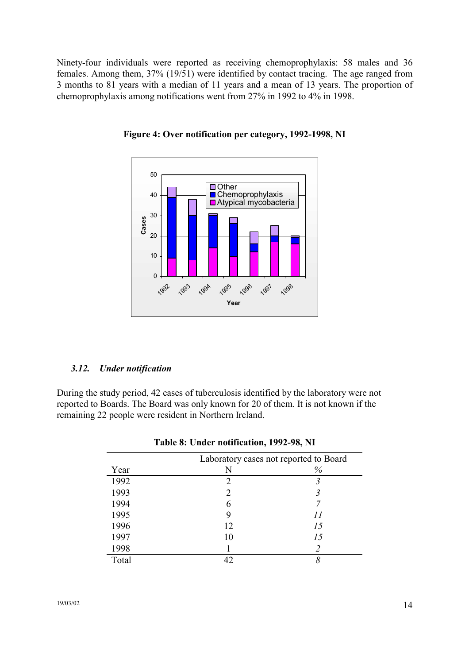<span id="page-13-0"></span>Ninety-four individuals were reported as receiving chemoprophylaxis: 58 males and 36 females. Among them, 37% (19/51) were identified by contact tracing. The age ranged from 3 months to 81 years with a median of 11 years and a mean of 13 years. The proportion of chemoprophylaxis among notifications went from 27% in 1992 to 4% in 1998.



**Figure 4: Over notification per category, 1992-1998, NI** 

#### *3.12. Under notification*

During the study period, 42 cases of tuberculosis identified by the laboratory were not reported to Boards. The Board was only known for 20 of them. It is not known if the remaining 22 people were resident in Northern Ireland.

|       | Laboratory cases not reported to Board |      |  |
|-------|----------------------------------------|------|--|
| Year  | N                                      | $\%$ |  |
| 1992  | 2                                      |      |  |
| 1993  |                                        |      |  |
| 1994  | 6                                      |      |  |
| 1995  |                                        |      |  |
| 1996  | 12                                     | 15   |  |
| 1997  | 10                                     | 15   |  |
| 1998  |                                        |      |  |
| Total | 42                                     |      |  |

|  | Table 8: Under notification, 1992-98, NI |  |
|--|------------------------------------------|--|
|  |                                          |  |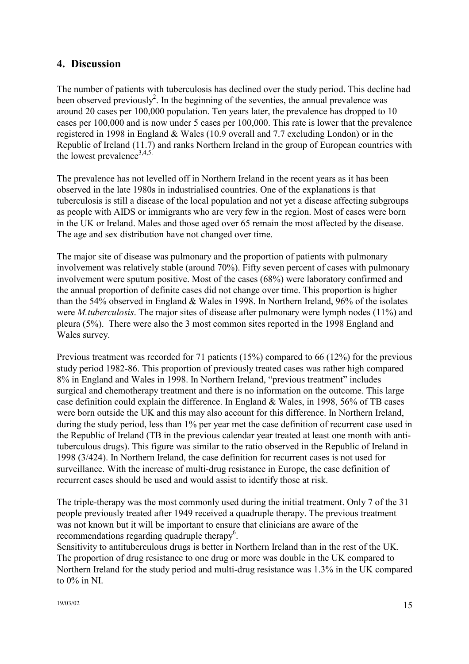# <span id="page-14-0"></span>**4. Discussion**

The number of patients with tuberculosis has declined over the study period. This decline had been observed previously<sup>2</sup>. In the beginning of the seventies, the annual prevalence was around 20 cases per 100,000 population. Ten years later, the prevalence has dropped to 10 cases per 100,000 and is now under 5 cases per 100,000. This rate is lower that the prevalence registered in 1998 in England & Wales (10.9 overall and 7.7 excluding London) or in the Republic of Ireland (11.7) and ranks Northern Ireland in the group of European countries with the lowest prevalence<sup>3,4,5.</sup>

The prevalence has not levelled off in Northern Ireland in the recent years as it has been observed in the late 1980s in industrialised countries. One of the explanations is that tuberculosis is still a disease of the local population and not yet a disease affecting subgroups as people with AIDS or immigrants who are very few in the region. Most of cases were born in the UK or Ireland. Males and those aged over 65 remain the most affected by the disease. The age and sex distribution have not changed over time.

The major site of disease was pulmonary and the proportion of patients with pulmonary involvement was relatively stable (around 70%). Fifty seven percent of cases with pulmonary involvement were sputum positive. Most of the cases (68%) were laboratory confirmed and the annual proportion of definite cases did not change over time. This proportion is higher than the 54% observed in England & Wales in 1998. In Northern Ireland, 96% of the isolates were *M.tuberculosis*. The major sites of disease after pulmonary were lymph nodes (11%) and pleura (5%). There were also the 3 most common sites reported in the 1998 England and Wales survey.

Previous treatment was recorded for 71 patients (15%) compared to 66 (12%) for the previous study period 1982-86. This proportion of previously treated cases was rather high compared 8% in England and Wales in 1998. In Northern Ireland, "previous treatment" includes surgical and chemotherapy treatment and there is no information on the outcome. This large case definition could explain the difference. In England & Wales, in 1998, 56% of TB cases were born outside the UK and this may also account for this difference. In Northern Ireland, during the study period, less than 1% per year met the case definition of recurrent case used in the Republic of Ireland (TB in the previous calendar year treated at least one month with antituberculous drugs). This figure was similar to the ratio observed in the Republic of Ireland in 1998 (3/424). In Northern Ireland, the case definition for recurrent cases is not used for surveillance. With the increase of multi-drug resistance in Europe, the case definition of recurrent cases should be used and would assist to identify those at risk.

The triple-therapy was the most commonly used during the initial treatment. Only 7 of the 31 people previously treated after 1949 received a quadruple therapy. The previous treatment was not known but it will be important to ensure that clinicians are aware of the recommendations regarding quadruple therapy<sup>6</sup>.

Sensitivity to antituberculous drugs is better in Northern Ireland than in the rest of the UK. The proportion of drug resistance to one drug or more was double in the UK compared to Northern Ireland for the study period and multi-drug resistance was 1.3% in the UK compared to 0% in NI.